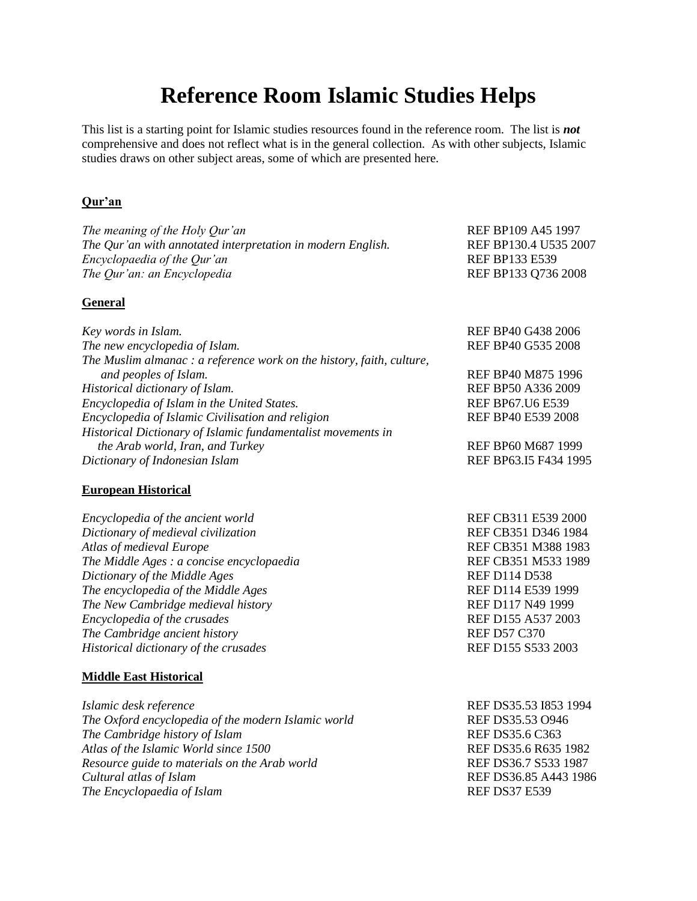# **Reference Room Islamic Studies Helps**

This list is a starting point for Islamic studies resources found in the reference room. The list is *not* comprehensive and does not reflect what is in the general collection. As with other subjects, Islamic studies draws on other subject areas, some of which are presented here.

# **Qur'an**

*The meaning of the Holy Qur'an*  $REF BP109 A45 1997$ *The Qur'an with annotated interpretation in modern English.* REF BP130.4 U535 2007 *Encyclopaedia of the Qur'an*  $REF BP133 E539$ *The Qur'an: an Encyclopedia REF BP133 Q736 2008* 

### **General**

| Key words in Islam.                                                   | REF BP40 G438 2006      |
|-----------------------------------------------------------------------|-------------------------|
| The new encyclopedia of Islam.                                        | REF BP40 G535 2008      |
| The Muslim almanac : a reference work on the history, faith, culture, |                         |
| and peoples of Islam.                                                 | REF BP40 M875 1996      |
| Historical dictionary of Islam.                                       | REF BP50 A336 2009      |
| Encyclopedia of Islam in the United States.                           | <b>REF BP67.U6 E539</b> |
| Encyclopedia of Islamic Civilisation and religion                     | REF BP40 E539 2008      |
| Historical Dictionary of Islamic fundamentalist movements in          |                         |
| the Arab world, Iran, and Turkey                                      | REF BP60 M687 1999      |
| Dictionary of Indonesian Islam                                        | REF BP63.I5 F434 1995   |

### **European Historical**

| Encyclopedia of the ancient world         | REF CB311 E539 2000                        |
|-------------------------------------------|--------------------------------------------|
| Dictionary of medieval civilization       | REF CB351 D346 1984                        |
| Atlas of medieval Europe                  | REF CB351 M388 1983                        |
| The Middle Ages : a concise encyclopaedia | REF CB351 M533 1989                        |
| Dictionary of the Middle Ages             | <b>REF D114 D538</b>                       |
| The encyclopedia of the Middle Ages       | REF D114 E539 1999                         |
| The New Cambridge medieval history        | REF D117 N49 1999                          |
| Encyclopedia of the crusades              | REF D155 A537 2003                         |
| The Cambridge ancient history             | <b>REF D57 C370</b>                        |
| Historical dictionary of the crusades     | REF D <sub>155</sub> S <sub>533</sub> 2003 |

#### **Middle East Historical**

*Islamic desk reference* REF DS35.53 I853 1994 *The Oxford encyclopedia of the modern Islamic world* REF DS35.53 O946 *The Cambridge history of Islam* REF DS35.6 C363 *Atlas of the Islamic World since 1500* REF DS35.6 R635 1982 *Resource guide to materials on the Arab world* **REF DS36.7 S533 1987** *Cultural atlas of Islam* REF DS36.85 A443 1986 *The Encyclopaedia of Islam* REF DS37 E539